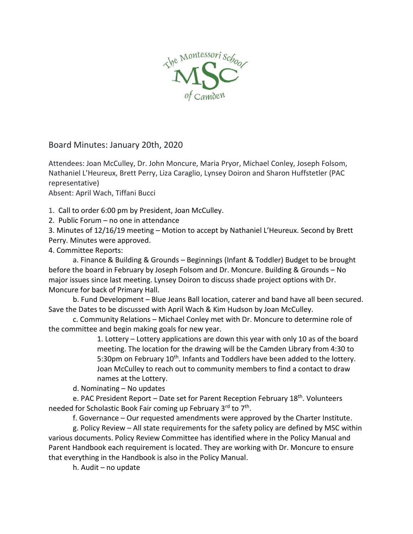

Board Minutes: January 20th, 2020

Attendees: Joan McCulley, Dr. John Moncure, Maria Pryor, Michael Conley, Joseph Folsom, Nathaniel L'Heureux, Brett Perry, Liza Caraglio, Lynsey Doiron and Sharon Huffstetler (PAC representative)

Absent: April Wach, Tiffani Bucci

1. Call to order 6:00 pm by President, Joan McCulley.

2. Public Forum – no one in attendance

3. Minutes of 12/16/19 meeting – Motion to accept by Nathaniel L'Heureux. Second by Brett Perry. Minutes were approved.

4. Committee Reports:

a. Finance & Building & Grounds – Beginnings (Infant & Toddler) Budget to be brought before the board in February by Joseph Folsom and Dr. Moncure. Building & Grounds – No major issues since last meeting. Lynsey Doiron to discuss shade project options with Dr. Moncure for back of Primary Hall.

b. Fund Development – Blue Jeans Ball location, caterer and band have all been secured. Save the Dates to be discussed with April Wach & Kim Hudson by Joan McCulley.

c. Community Relations – Michael Conley met with Dr. Moncure to determine role of the committee and begin making goals for new year.

> 1. Lottery – Lottery applications are down this year with only 10 as of the board meeting. The location for the drawing will be the Camden Library from 4:30 to 5:30pm on February 10<sup>th</sup>. Infants and Toddlers have been added to the lottery. Joan McCulley to reach out to community members to find a contact to draw names at the Lottery.

d. Nominating – No updates

e. PAC President Report – Date set for Parent Reception February 18<sup>th</sup>. Volunteers needed for Scholastic Book Fair coming up February 3<sup>rd</sup> to 7<sup>th</sup>.

f. Governance – Our requested amendments were approved by the Charter Institute.

g. Policy Review – All state requirements for the safety policy are defined by MSC within various documents. Policy Review Committee has identified where in the Policy Manual and Parent Handbook each requirement is located. They are working with Dr. Moncure to ensure that everything in the Handbook is also in the Policy Manual.

h. Audit – no update